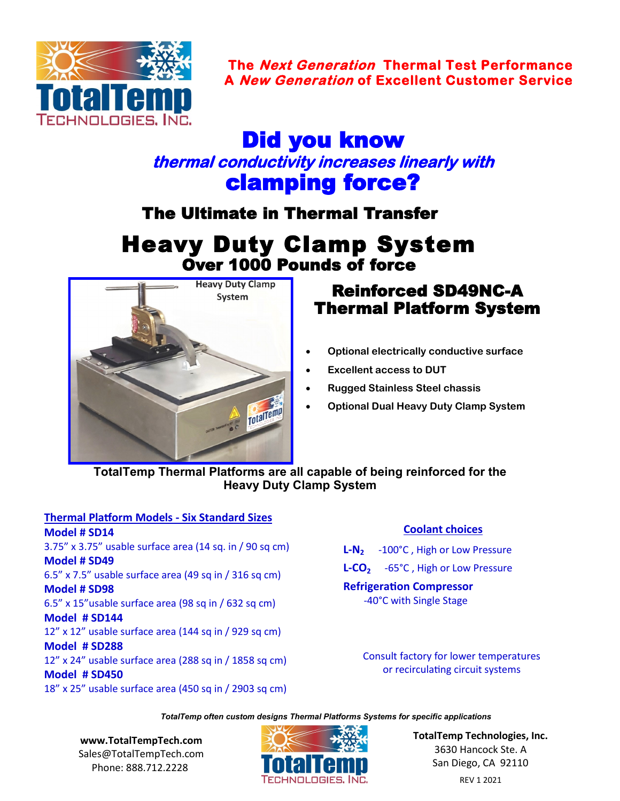

**The Next Generation Thermal Test Performance A New Generation of Excellent Customer Service** 

# Did you know **thermal conductivity increases linearly with**  clamping force?

The Ultimate in Thermal Transfer

# Heavy Duty Clamp System Over 1000 Pounds of force



## Reinforced SD49NC-A Thermal Platform System

- **Optional electrically conductive surface**
- **Excellent access to DUT**
- **Rugged Stainless Steel chassis**
- **Optional Dual Heavy Duty Clamp System**

#### **TotalTemp Thermal Platforms are all capable of being reinforced for the Heavy Duty Clamp System**

#### **Thermal Platform Models - Six Standard Sizes Model # SD14**  3.75" x 3.75" usable surface area (14 sq. in / 90 sq cm) **Model # SD49**  6.5" x 7.5" usable surface area (49 sq in / 316 sq cm) **Model # SD98**  6.5" x 15"usable surface area (98 sq in / 632 sq cm) **Model # SD144** 12" x 12" usable surface area (144 sq in / 929 sq cm) **Model # SD288** 12" x 24" usable surface area (288 sq in / 1858 sq cm) **Model # SD450** 18" x 25" usable surface area (450 sq in / 2903 sq cm)

#### **Coolant choices**

**L-N<sup>2</sup>** -100°C , High or Low Pressure **L-CO<sup>2</sup>** -65°C , High or Low Pressure **Refrigeration Compressor** -40°C with Single Stage

> Consult factory for lower temperatures or recirculating circuit systems

*TotalTemp often custom designs Thermal Platforms Systems for specific applications* 

**[www.TotalTempTech.com](http://www.TotalTempTech.com)** Sales@TotalTempTech.com Phone: 888.712.2228



**TotalTemp Technologies, Inc.** 3630 Hancock Ste. A San Diego, CA 92110 REV 1 2021